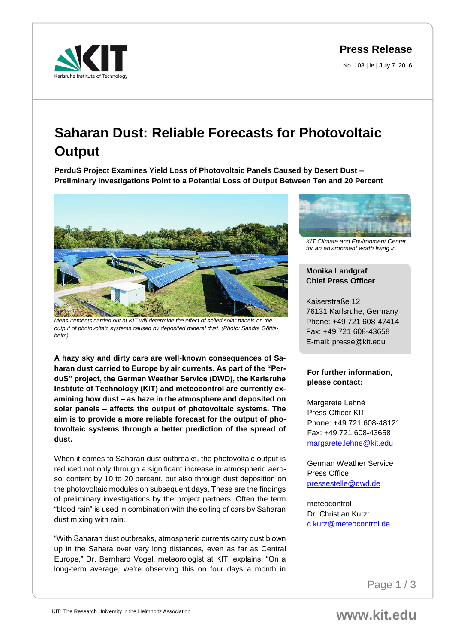**Press Release**

No. 103 | le | July 7, 2016



## **Saharan Dust: Reliable Forecasts for Photovoltaic Output**

**PerduS Project Examines Yield Loss of Photovoltaic Panels Caused by Desert Dust – Preliminary Investigations Point to a Potential Loss of Output Between Ten and 20 Percent**



*Measurements carried out at KIT will determine the effect of soiled solar panels on the output of photovoltaic systems caused by deposited mineral dust. (Photo: Sandra Göttisheim)*

**A hazy sky and dirty cars are well-known consequences of Saharan dust carried to Europe by air currents. As part of the "PerduS" project, the German Weather Service (DWD), the Karlsruhe Institute of Technology (KIT) and meteocontrol are currently examining how dust – as haze in the atmosphere and deposited on solar panels – affects the output of photovoltaic systems. The aim is to provide a more reliable forecast for the output of photovoltaic systems through a better prediction of the spread of dust.**

When it comes to Saharan dust outbreaks, the photovoltaic output is reduced not only through a significant increase in atmospheric aerosol content by 10 to 20 percent, but also through dust deposition on the photovoltaic modules on subsequent days. These are the findings of preliminary investigations by the project partners. Often the term "blood rain" is used in combination with the soiling of cars by Saharan dust mixing with rain.

"With Saharan dust outbreaks, atmospheric currents carry dust blown up in the Sahara over very long distances, even as far as Central Europe," Dr. Bernhard Vogel, meteorologist at KIT, explains. "On a long-term average, we're observing this on four days a month in



*KIT Climate and Environment Center: for an environment worth living in*

## **Monika Landgraf Chief Press Officer**

Kaiserstraße 12 76131 Karlsruhe, Germany Phone: +49 721 608-47414 Fax: +49 721 608-43658 E-mail: presse@kit.edu

## **For further information, please contact:**

Margarete Lehné Press Officer KIT Phone: +49 721 608-48121 Fax: +49 721 608-43658 [margarete.lehne@kit.edu](mailto:margarete.lehne@kit.edu)

German Weather Service Press Office [pressestelle@dwd.de](mailto:pressestelle@dwd.de)

meteocontrol Dr. Christian Kurz: [c.kurz@meteocontrol.de](mailto:c.kurz@meteocontrol.de)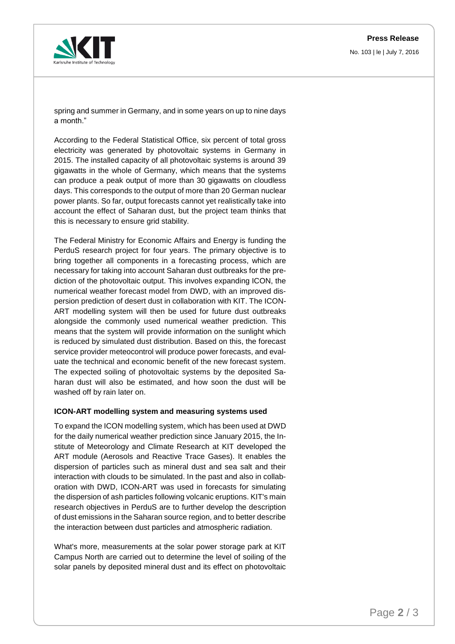

No. 103 | le | July 7, 2016

spring and summer in Germany, and in some years on up to nine days a month."

According to the Federal Statistical Office, six percent of total gross electricity was generated by photovoltaic systems in Germany in 2015. The installed capacity of all photovoltaic systems is around 39 gigawatts in the whole of Germany, which means that the systems can produce a peak output of more than 30 gigawatts on cloudless days. This corresponds to the output of more than 20 German nuclear power plants. So far, output forecasts cannot yet realistically take into account the effect of Saharan dust, but the project team thinks that this is necessary to ensure grid stability.

The Federal Ministry for Economic Affairs and Energy is funding the PerduS research project for four years. The primary objective is to bring together all components in a forecasting process, which are necessary for taking into account Saharan dust outbreaks for the prediction of the photovoltaic output. This involves expanding ICON, the numerical weather forecast model from DWD, with an improved dispersion prediction of desert dust in collaboration with KIT. The ICON-ART modelling system will then be used for future dust outbreaks alongside the commonly used numerical weather prediction. This means that the system will provide information on the sunlight which is reduced by simulated dust distribution. Based on this, the forecast service provider meteocontrol will produce power forecasts, and evaluate the technical and economic benefit of the new forecast system. The expected soiling of photovoltaic systems by the deposited Saharan dust will also be estimated, and how soon the dust will be washed off by rain later on.

## **ICON-ART modelling system and measuring systems used**

To expand the ICON modelling system, which has been used at DWD for the daily numerical weather prediction since January 2015, the Institute of Meteorology and Climate Research at KIT developed the ART module (Aerosols and Reactive Trace Gases). It enables the dispersion of particles such as mineral dust and sea salt and their interaction with clouds to be simulated. In the past and also in collaboration with DWD, ICON-ART was used in forecasts for simulating the dispersion of ash particles following volcanic eruptions. KIT's main research objectives in PerduS are to further develop the description of dust emissions in the Saharan source region, and to better describe the interaction between dust particles and atmospheric radiation.

What's more, measurements at the solar power storage park at KIT Campus North are carried out to determine the level of soiling of the solar panels by deposited mineral dust and its effect on photovoltaic